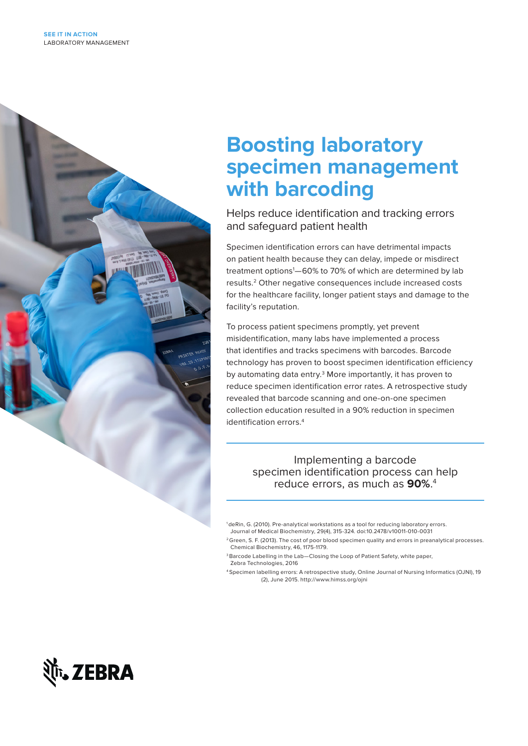

# **Boosting laboratory specimen management with barcoding**

Helps reduce identification and tracking errors and safeguard patient health

Specimen identification errors can have detrimental impacts on patient health because they can delay, impede or misdirect treatment options1 —60% to 70% of which are determined by lab results.2 Other negative consequences include increased costs for the healthcare facility, longer patient stays and damage to the facility's reputation.

To process patient specimens promptly, yet prevent misidentification, many labs have implemented a process that identifies and tracks specimens with barcodes. Barcode technology has proven to boost specimen identification efficiency by automating data entry.<sup>3</sup> More importantly, it has proven to reduce specimen identification error rates. A retrospective study revealed that barcode scanning and one-on-one specimen collection education resulted in a 90% reduction in specimen identification errors.4

> Implementing a barcode specimen identification process can help reduce errors, as much as **90%**. 4

- <sup>1</sup> deRin, G. (2010). Pre-analytical workstations as a tool for reducing laboratory errors. Journal of Medical Biochemistry, 29(4), 315-324. doi:10.2478/v10011-010-0031
- <sup>2</sup> Green, S. F. (2013). The cost of poor blood specimen quality and errors in preanalytical processes. Chemical Biochemistry, 46, 1175-1179.
- <sup>3</sup> Barcode Labelling in the Lab-Closing the Loop of Patient Safety, white paper, Zebra Technologies, 2016
- 4 Specimen labelling errors: A retrospective study, Online Journal of Nursing Informatics (OJNI), 19 (2), June 2015. http://www.himss.org/ojni

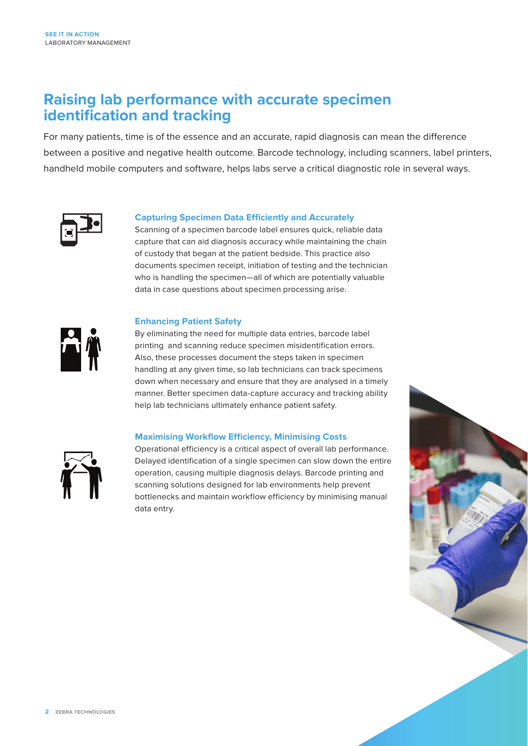### **Raising lab performance with accurate specimen identification and tracking**

For many patients, time is of the essence and an accurate, rapid diagnosis can mean the difference between a positive and negative health outcome. Barcode technology, including scanners, label printers, handheld mobile computers and software, helps labs serve a critical diagnostic role in several ways.



#### **Capturing Specimen Data Efficiently and Accurately**

Scanning of a specimen barcode label ensures quick, reliable data capture that can aid diagnosis accuracy while maintaining the chain of custody that began at the patient bedside. This practice also documents specimen receipt, initiation of testing and the technician who is handling the specimen—all of which are potentially valuable data in case questions about specimen processing arise.

#### **Enhancing Patient Safety**



By eliminating the need for multiple data entries, barcode label printing and scanning reduce specimen misidentification errors. Also, these processes document the steps taken in specimen handling at any given time, so lab technicians can track specimens down when necessary and ensure that they are analysed in a timely manner. Better specimen data-capture accuracy and tracking ability help lab technicians ultimately enhance patient safety.

#### **Maximising Workflow Efficiency, Minimising Costs**



Operational efficiency is a critical aspect of overall lab performance. Delayed identification of a single specimen can slow down the entire operation, causing multiple diagnosis delays. Barcode printing and scanning solutions designed for lab environments help prevent bottlenecks and maintain workflow efficiency by minimising manual data entry.

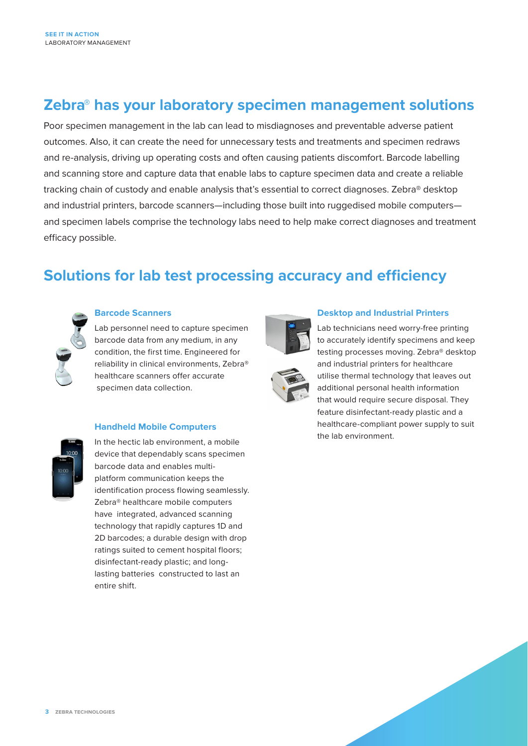### **Zebra® has your laboratory specimen management solutions**

Poor specimen management in the lab can lead to misdiagnoses and preventable adverse patient outcomes. Also, it can create the need for unnecessary tests and treatments and specimen redraws and re-analysis, driving up operating costs and often causing patients discomfort. Barcode labelling and scanning store and capture data that enable labs to capture specimen data and create a reliable tracking chain of custody and enable analysis that's essential to correct diagnoses. Zebra® desktop and industrial printers, barcode scanners—including those built into ruggedised mobile computers and specimen labels comprise the technology labs need to help make correct diagnoses and treatment efficacy possible.

### **Solutions for lab test processing accuracy and efficiency**



#### **Barcode Scanners**

Lab personnel need to capture specimen barcode data from any medium, in any condition, the first time. Engineered for reliability in clinical environments, Zebra® healthcare scanners offer accurate specimen data collection.

#### **Handheld Mobile Computers**



In the hectic lab environment, a mobile device that dependably scans specimen barcode data and enables multiplatform communication keeps the identification process flowing seamlessly. Zebra® healthcare mobile computers have integrated, advanced scanning technology that rapidly captures 1D and 2D barcodes; a durable design with drop ratings suited to cement hospital floors; disinfectant-ready plastic; and longlasting batteries constructed to last an entire shift.



#### **Desktop and Industrial Printers**

Lab technicians need worry-free printing to accurately identify specimens and keep testing processes moving. Zebra® desktop and industrial printers for healthcare utilise thermal technology that leaves out additional personal health information that would require secure disposal. They feature disinfectant-ready plastic and a healthcare-compliant power supply to suit the lab environment.